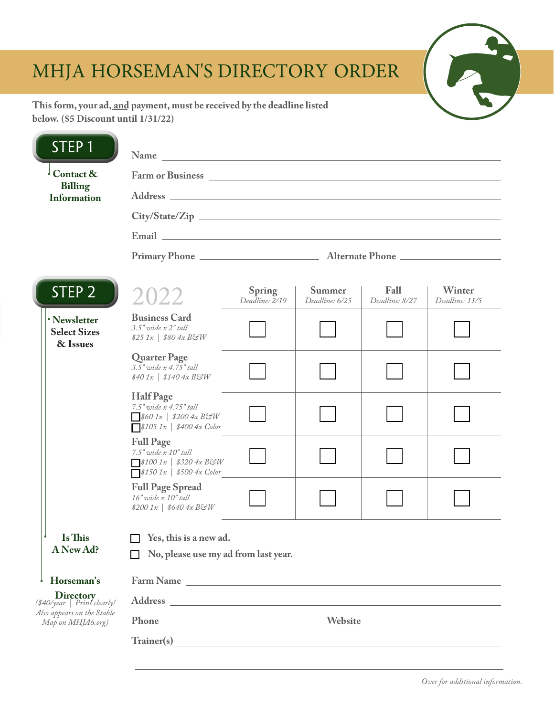# MHJA HORSEMAN'S DIRECTORY ORDER



**This form, your ad, and payment, must be received by the deadline listed below. (\$5 Discount until 1/31/22)**

ц.

| STEP <sub>1</sub>                                                                                  | Name<br><u> 1989 - Johann John Stein, markin fan it ferstjer fan de ferstjer fan it ferstjer fan it ferstjer fan it ferst</u>                                                                                                       |                          |                          |                        |                          |  |
|----------------------------------------------------------------------------------------------------|-------------------------------------------------------------------------------------------------------------------------------------------------------------------------------------------------------------------------------------|--------------------------|--------------------------|------------------------|--------------------------|--|
| Contact &<br><b>Billing</b><br><b>Information</b>                                                  | Farm or Business <u>experience</u> and the set of the set of the set of the set of the set of the set of the set of the set of the set of the set of the set of the set of the set of the set of the set of the set of the set of t |                          |                          |                        |                          |  |
|                                                                                                    |                                                                                                                                                                                                                                     |                          |                          |                        |                          |  |
|                                                                                                    |                                                                                                                                                                                                                                     |                          |                          |                        |                          |  |
|                                                                                                    |                                                                                                                                                                                                                                     |                          |                          |                        |                          |  |
| STEP <sub>2</sub>                                                                                  | 2022                                                                                                                                                                                                                                | Spring<br>Deadline: 2/19 | Summer<br>Deadline: 6/25 | Fall<br>Deadline: 8/27 | Winter<br>Deadline: 11/5 |  |
| <sup>i</sup> Newsletter<br><b>Select Sizes</b><br>& Issues                                         | <b>Business Card</b><br>$3.5"$ wide $x 2"$ tall<br>$$25\ 1x$   \$80 4x B&W                                                                                                                                                          |                          |                          |                        |                          |  |
|                                                                                                    | <b>Quarter Page</b><br>$3.5"$ wide $x$ 4.75" tall<br>$$401x$   \$140 $4x$ BGW                                                                                                                                                       |                          |                          |                        |                          |  |
|                                                                                                    | <b>Half Page</b><br>7.5" wide x 4.75" tall<br>$\sqrt{$601x \mid $2004xB\mathcal{G}W}$<br>$\sqrt{$1051x \mid $4004x \text{ Color}}$                                                                                                  |                          |                          |                        |                          |  |
|                                                                                                    | <b>Full Page</b><br>$7.5"$ wide $x$ $10"$ tall<br>$\sqrt{$1001x \mid $3204x B\text{GeV}}$<br>$\sqrt{$1501x \mid $5004x \text{ Color}}$                                                                                              |                          |                          |                        |                          |  |
|                                                                                                    | <b>Full Page Spread</b><br>$16"$ wide x $10"$ tall<br>$$2001x$   \$640 4x BGW                                                                                                                                                       |                          |                          |                        |                          |  |
| Is This<br>A New Ad?                                                                               | $\Box$ Yes, this is a new ad.<br>No, please use my ad from last year.                                                                                                                                                               |                          |                          |                        |                          |  |
| Horseman's                                                                                         | Farm Name Lawrence and the state of the state of the state of the state of the state of the state of the state of the state of the state of the state of the state of the state of the state of the state of the state of the       |                          |                          |                        |                          |  |
| <b>Directory</b><br>$(*40/\text{year}   1 - 1)$<br>Also appears on the Stable<br>Map on MHJA6.org) |                                                                                                                                                                                                                                     |                          |                          |                        |                          |  |
|                                                                                                    |                                                                                                                                                                                                                                     |                          |                          |                        |                          |  |
|                                                                                                    |                                                                                                                                                                                                                                     |                          |                          |                        |                          |  |